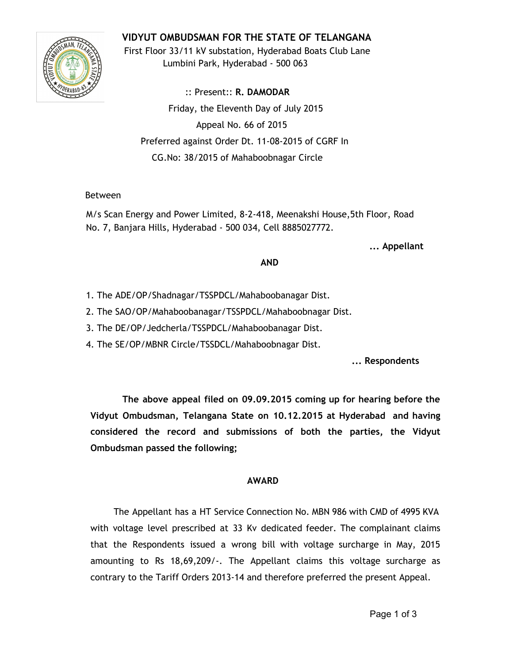# **VIDYUT OMBUDSMAN FOR THE STATE OF TELANGANA**



First Floor 33/11 kV substation, Hyderabad Boats Club Lane Lumbini Park, Hyderabad - 500 063

:: Present:: **R. DAMODAR** Friday, the Eleventh Day of July 2015 Appeal No. 66 of 2015 Preferred against Order Dt. 11-08-2015 of CGRF In CG.No: 38/2015 of Mahaboobnagar Circle

#### Between

M/s Scan Energy and Power Limited, 8-2-418, Meenakshi House,5th Floor, Road No. 7, Banjara Hills, Hyderabad - 500 034, Cell 8885027772.

**... Appellant**

#### **AND**

1. The ADE/OP/Shadnagar/TSSPDCL/Mahaboobanagar Dist.

2. The SAO/OP/Mahaboobanagar/TSSPDCL/Mahaboobnagar Dist.

3. The DE/OP/Jedcherla/TSSPDCL/Mahaboobanagar Dist.

4. The SE/OP/MBNR Circle/TSSDCL/Mahaboobnagar Dist.

**... Respondents**

**The above appeal filed on 09.09.2015 coming up for hearing before the Vidyut Ombudsman, Telangana State on 10.12.2015 at Hyderabad and having considered the record and submissions of both the parties, the Vidyut Ombudsman passed the following;**

# **AWARD**

The Appellant has a HT Service Connection No. MBN 986 with CMD of 4995 KVA with voltage level prescribed at 33 Kv dedicated feeder. The complainant claims that the Respondents issued a wrong bill with voltage surcharge in May, 2015 amounting to Rs 18,69,209/-. The Appellant claims this voltage surcharge as contrary to the Tariff Orders 2013-14 and therefore preferred the present Appeal.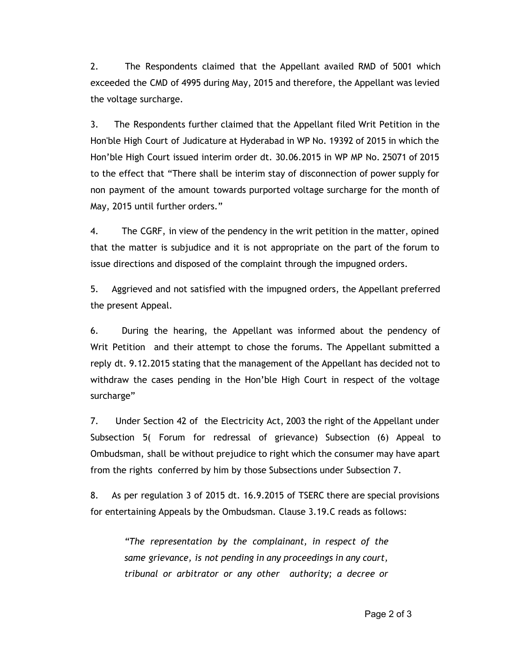2. The Respondents claimed that the Appellant availed RMD of 5001 which exceeded the CMD of 4995 during May, 2015 and therefore, the Appellant was levied the voltage surcharge.

3. The Respondents further claimed that the Appellant filed Writ Petition in the Hon'ble High Court of Judicature at Hyderabad in WP No. 19392 of 2015 in which the Hon'ble High Court issued interim order dt. 30.06.2015 in WP MP No. 25071 of 2015 to the effect that "There shall be interim stay of disconnection of power supply for non payment of the amount towards purported voltage surcharge for the month of May, 2015 until further orders."

4. The CGRF, in view of the pendency in the writ petition in the matter, opined that the matter is subjudice and it is not appropriate on the part of the forum to issue directions and disposed of the complaint through the impugned orders.

5. Aggrieved and not satisfied with the impugned orders, the Appellant preferred the present Appeal.

6. During the hearing, the Appellant was informed about the pendency of Writ Petition and their attempt to chose the forums. The Appellant submitted a reply dt. 9.12.2015 stating that the management of the Appellant has decided not to withdraw the cases pending in the Hon'ble High Court in respect of the voltage surcharge"

7. Under Section 42 of the Electricity Act, 2003 the right of the Appellant under Subsection 5( Forum for redressal of grievance) Subsection (6) Appeal to Ombudsman, shall be without prejudice to right which the consumer may have apart from the rights conferred by him by those Subsections under Subsection 7.

8. As per regulation 3 of 2015 dt. 16.9.2015 of TSERC there are special provisions for entertaining Appeals by the Ombudsman. Clause 3.19.C reads as follows:

*"The representation by the complainant, in respect of the same grievance, is not pending in any proceedings in any court, tribunal or arbitrator or any other authority; a decree or*